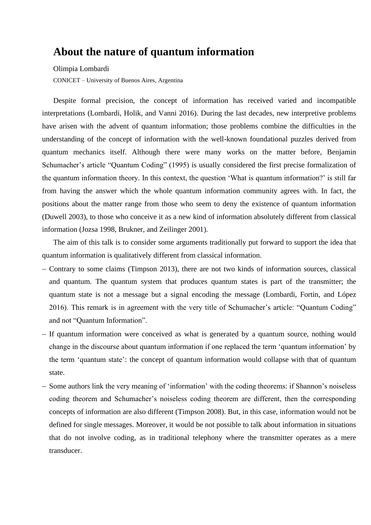## **About the nature of quantum information**

Olimpia Lombardi

CONICET – University of Buenos Aires, Argentina

Despite formal precision, the concept of information has received varied and incompatible interpretations (Lombardi, Holik, and Vanni 2016). During the last decades, new interpretive problems have arisen with the advent of quantum information; those problems combine the difficulties in the understanding of the concept of information with the well-known foundational puzzles derived from quantum mechanics itself. Although there were many works on the matter before, Benjamin Schumacher's article "Quantum Coding" (1995) is usually considered the first precise formalization of the quantum information theory. In this context, the question 'What is quantum information?' is still far from having the answer which the whole quantum information community agrees with. In fact, the positions about the matter range from those who seem to deny the existence of quantum information (Duwell 2003), to those who conceive it as a new kind of information absolutely different from classical information (Jozsa 1998, Brukner, and Zeilinger 2001).

The aim of this talk is to consider some arguments traditionally put forward to support the idea that quantum information is qualitatively different from classical information.

- − Contrary to some claims (Timpson 2013), there are not two kinds of information sources, classical and quantum. The quantum system that produces quantum states is part of the transmitter; the quantum state is not a message but a signal encoding the message (Lombardi, Fortin, and López 2016). This remark is in agreement with the very title of Schumacher's article: "Quantum Coding" and not "Quantum Information".
- − If quantum information were conceived as what is generated by a quantum source, nothing would change in the discourse about quantum information if one replaced the term 'quantum information' by the term 'quantum state': the concept of quantum information would collapse with that of quantum state.
- − Some authors link the very meaning of 'information' with the coding theorems: if Shannon's noiseless coding theorem and Schumacher's noiseless coding theorem are different, then the corresponding concepts of information are also different (Timpson 2008). But, in this case, information would not be defined for single messages. Moreover, it would be not possible to talk about information in situations that do not involve coding, as in traditional telephony where the transmitter operates as a mere transducer.